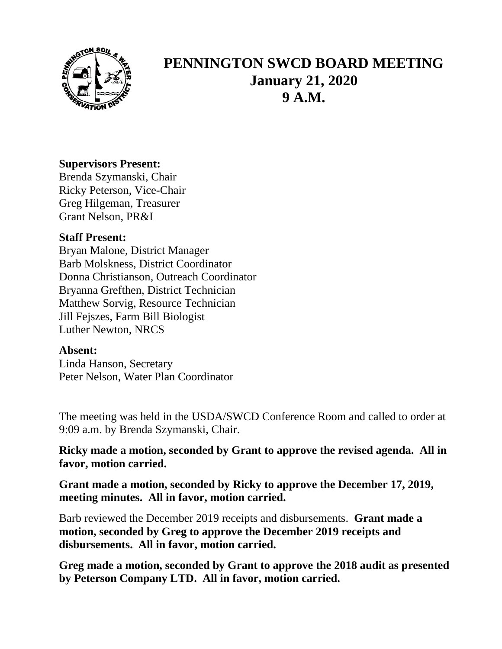

## **PENNINGTON SWCD BOARD MEETING January 21, 2020 9 A.M.**

## **Supervisors Present:**

Brenda Szymanski, Chair Ricky Peterson, Vice-Chair Greg Hilgeman, Treasurer Grant Nelson, PR&I

## **Staff Present:**

Bryan Malone, District Manager Barb Molskness, District Coordinator Donna Christianson, Outreach Coordinator Bryanna Grefthen, District Technician Matthew Sorvig, Resource Technician Jill Fejszes, Farm Bill Biologist Luther Newton, NRCS

## **Absent:**

Linda Hanson, Secretary Peter Nelson, Water Plan Coordinator

The meeting was held in the USDA/SWCD Conference Room and called to order at 9:09 a.m. by Brenda Szymanski, Chair.

**Ricky made a motion, seconded by Grant to approve the revised agenda. All in favor, motion carried.**

**Grant made a motion, seconded by Ricky to approve the December 17, 2019, meeting minutes. All in favor, motion carried.**

Barb reviewed the December 2019 receipts and disbursements. **Grant made a motion, seconded by Greg to approve the December 2019 receipts and disbursements. All in favor, motion carried.**

**Greg made a motion, seconded by Grant to approve the 2018 audit as presented by Peterson Company LTD. All in favor, motion carried.**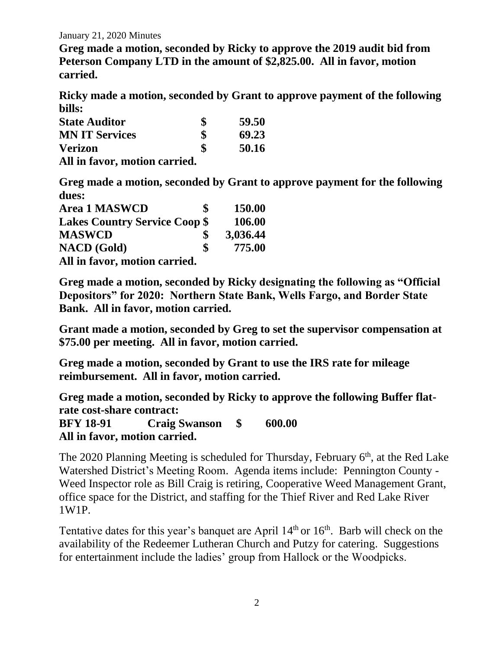January 21, 2020 Minutes

**Greg made a motion, seconded by Ricky to approve the 2019 audit bid from Peterson Company LTD in the amount of \$2,825.00. All in favor, motion carried.**

**Ricky made a motion, seconded by Grant to approve payment of the following bills:**

| <b>State Auditor</b>          | \$<br>59.50 |
|-------------------------------|-------------|
| <b>MN IT Services</b>         | \$<br>69.23 |
| <b>Verizon</b>                | \$<br>50.16 |
| All in favor, motion carried. |             |

**Greg made a motion, seconded by Grant to approve payment for the following dues:**

| <b>Area 1 MASWCD</b>                 | S  | 150.00   |
|--------------------------------------|----|----------|
| <b>Lakes Country Service Coop \$</b> |    | 106.00   |
| <b>MASWCD</b>                        |    | 3,036.44 |
| <b>NACD</b> (Gold)                   | \$ | 775.00   |
| All in farm mation counted           |    |          |

**All in favor, motion carried.**

**Greg made a motion, seconded by Ricky designating the following as "Official Depositors" for 2020: Northern State Bank, Wells Fargo, and Border State Bank. All in favor, motion carried.**

**Grant made a motion, seconded by Greg to set the supervisor compensation at \$75.00 per meeting. All in favor, motion carried.**

**Greg made a motion, seconded by Grant to use the IRS rate for mileage reimbursement. All in favor, motion carried.**

**Greg made a motion, seconded by Ricky to approve the following Buffer flatrate cost-share contract:**

**BFY 18-91 Craig Swanson \$ 600.00 All in favor, motion carried.**

The 2020 Planning Meeting is scheduled for Thursday, February  $6<sup>th</sup>$ , at the Red Lake Watershed District's Meeting Room. Agenda items include: Pennington County - Weed Inspector role as Bill Craig is retiring, Cooperative Weed Management Grant, office space for the District, and staffing for the Thief River and Red Lake River 1W1P.

Tentative dates for this year's banquet are April  $14<sup>th</sup>$  or  $16<sup>th</sup>$ . Barb will check on the availability of the Redeemer Lutheran Church and Putzy for catering. Suggestions for entertainment include the ladies' group from Hallock or the Woodpicks.